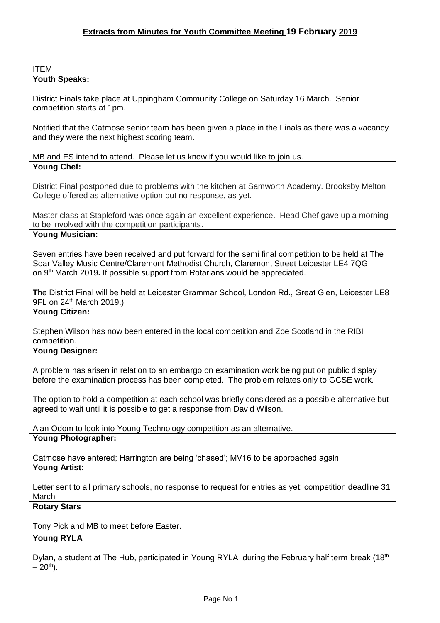#### ITEM

# **Youth Speaks:**

District Finals take place at Uppingham Community College on Saturday 16 March. Senior competition starts at 1pm.

Notified that the Catmose senior team has been given a place in the Finals as there was a vacancy and they were the next highest scoring team.

MB and ES intend to attend. Please let us know if you would like to join us. **Young Chef:**

District Final postponed due to problems with the kitchen at Samworth Academy. Brooksby Melton College offered as alternative option but no response, as yet.

Master class at Stapleford was once again an excellent experience. Head Chef gave up a morning to be involved with the competition participants.

### **Young Musician:**

Seven entries have been received and put forward for the semi final competition to be held at The Soar Valley Music Centre/Claremont Methodist Church, Claremont Street Leicester LE4 7QG on 9 th March 2019**.** If possible support from Rotarians would be appreciated.

**T**he District Final will be held at Leicester Grammar School, London Rd., Great Glen, Leicester LE8 9FL on 24<sup>th</sup> March 2019.)

# **Young Citizen:**

Stephen Wilson has now been entered in the local competition and Zoe Scotland in the RIBI competition.

## **Young Designer:**

A problem has arisen in relation to an embargo on examination work being put on public display before the examination process has been completed. The problem relates only to GCSE work.

The option to hold a competition at each school was briefly considered as a possible alternative but agreed to wait until it is possible to get a response from David Wilson.

Alan Odom to look into Young Technology competition as an alternative.

## **Young Photographer:**

Catmose have entered; Harrington are being 'chased'; MV16 to be approached again. **Young Artist:** 

Letter sent to all primary schools, no response to request for entries as yet; competition deadline 31 March

## **Rotary Stars**

Tony Pick and MB to meet before Easter.

# **Young RYLA**

Dylan, a student at The Hub, participated in Young RYLA during the February half term break (18<sup>th</sup>)  $-20^{th}$ ).